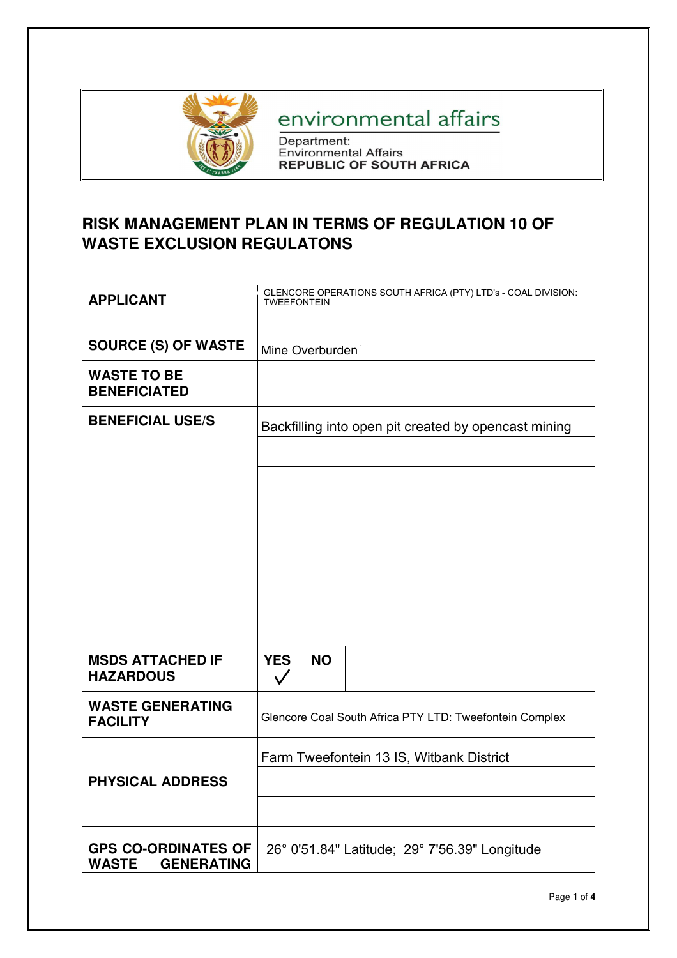

# environmental affairs

Department:<br>Environmental Affairs<br>REPUBLIC OF SOUTH AFRICA

## **RISK MANAGEMENT PLAN IN TERMS OF REGULATION 10 OF WASTE EXCLUSION REGULATONS**

| <b>APPLICANT</b>                                                | GLENCORE OPERATIONS SOUTH AFRICA (PTY) LTD's - COAL DIVISION:<br>TWEEFONTEIN |           |                                                      |
|-----------------------------------------------------------------|------------------------------------------------------------------------------|-----------|------------------------------------------------------|
| <b>SOURCE (S) OF WASTE</b>                                      | Mine Overburden.                                                             |           |                                                      |
| <b>WASTE TO BE</b><br><b>BENEFICIATED</b>                       |                                                                              |           |                                                      |
| <b>BENEFICIAL USE/S</b>                                         |                                                                              |           | Backfilling into open pit created by opencast mining |
|                                                                 |                                                                              |           |                                                      |
|                                                                 |                                                                              |           |                                                      |
|                                                                 |                                                                              |           |                                                      |
|                                                                 |                                                                              |           |                                                      |
|                                                                 |                                                                              |           |                                                      |
|                                                                 |                                                                              |           |                                                      |
|                                                                 |                                                                              |           |                                                      |
| <b>MSDS ATTACHED IF</b><br><b>HAZARDOUS</b>                     | <b>YES</b><br>$\checkmark$                                                   | <b>NO</b> |                                                      |
| <b>WASTE GENERATING</b><br><b>FACILITY</b>                      | Glencore Coal South Africa PTY LTD: Tweefontein Complex                      |           |                                                      |
|                                                                 | Farm Tweefontein 13 IS, Witbank District                                     |           |                                                      |
| <b>PHYSICAL ADDRESS</b>                                         |                                                                              |           |                                                      |
|                                                                 |                                                                              |           |                                                      |
| <b>GPS CO-ORDINATES OF</b><br><b>WASTE</b><br><b>GENERATING</b> |                                                                              |           | 26° 0'51.84" Latitude; 29° 7'56.39" Longitude        |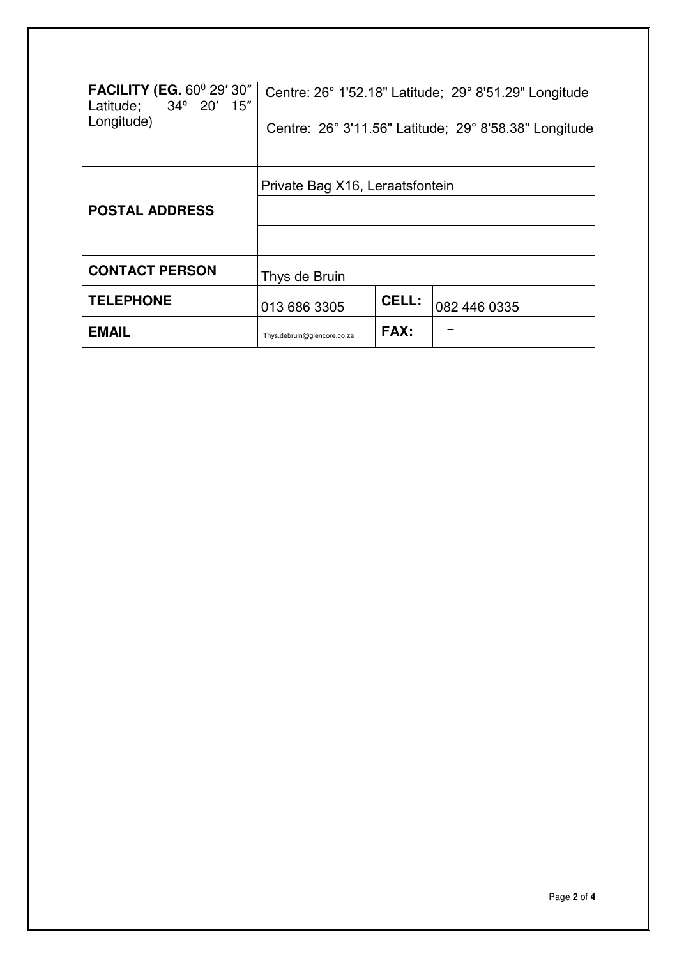| <b>FACILITY (EG. 60° 29' 30"</b><br>Latitude; 34° 20' 15"<br>Longitude) |                                 |       | Centre: 26° 1'52.18" Latitude; 29° 8'51.29" Longitude<br>Centre: 26° 3'11.56" Latitude; 29° 8'58.38" Longitude |
|-------------------------------------------------------------------------|---------------------------------|-------|----------------------------------------------------------------------------------------------------------------|
| <b>POSTAL ADDRESS</b>                                                   | Private Bag X16, Leraatsfontein |       |                                                                                                                |
| <b>CONTACT PERSON</b>                                                   | Thys de Bruin                   |       |                                                                                                                |
| <b>TELEPHONE</b>                                                        | 013 686 3305                    | CELL: | 082 446 0335                                                                                                   |
| <b>EMAIL</b>                                                            | Thys.debruin@glencore.co.za     | FAX:  |                                                                                                                |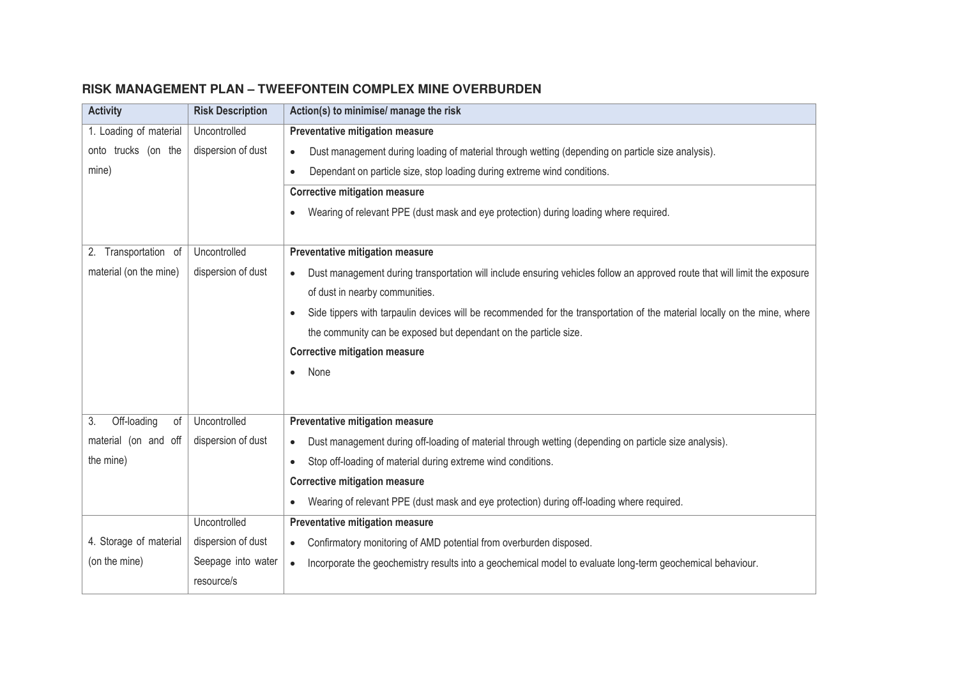| <b>Activity</b>         | <b>Risk Description</b> | Action(s) to minimise/ manage the risk                                                                                     |
|-------------------------|-------------------------|----------------------------------------------------------------------------------------------------------------------------|
| 1. Loading of material  | Uncontrolled            | Preventative mitigation measure                                                                                            |
| onto trucks (on the     | dispersion of dust      | Dust management during loading of material through wetting (depending on particle size analysis).<br>$\bullet$             |
| mine)                   |                         | Dependant on particle size, stop loading during extreme wind conditions.<br>$\bullet$                                      |
|                         |                         | <b>Corrective mitigation measure</b>                                                                                       |
|                         |                         | Wearing of relevant PPE (dust mask and eye protection) during loading where required.<br>$\bullet$                         |
|                         |                         |                                                                                                                            |
| 2. Transportation of    | Uncontrolled            | Preventative mitigation measure                                                                                            |
| material (on the mine)  | dispersion of dust      | Dust management during transportation will include ensuring vehicles follow an approved route that will limit the exposure |
|                         |                         | of dust in nearby communities.                                                                                             |
|                         |                         | Side tippers with tarpaulin devices will be recommended for the transportation of the material locally on the mine, where  |
|                         |                         | the community can be exposed but dependant on the particle size.                                                           |
|                         |                         | <b>Corrective mitigation measure</b>                                                                                       |
|                         |                         | None<br>$\bullet$                                                                                                          |
|                         |                         |                                                                                                                            |
| Off-loading<br>3.<br>of | Uncontrolled            | Preventative mitigation measure                                                                                            |
| material (on and off    | dispersion of dust      | Dust management during off-loading of material through wetting (depending on particle size analysis).                      |
| the mine)               |                         | Stop off-loading of material during extreme wind conditions.<br>$\bullet$                                                  |
|                         |                         | <b>Corrective mitigation measure</b>                                                                                       |
|                         |                         | Wearing of relevant PPE (dust mask and eye protection) during off-loading where required.<br>$\bullet$                     |
|                         | Uncontrolled            | Preventative mitigation measure                                                                                            |
| 4. Storage of material  | dispersion of dust      | Confirmatory monitoring of AMD potential from overburden disposed.<br>$\bullet$                                            |
| (on the mine)           | Seepage into water      | Incorporate the geochemistry results into a geochemical model to evaluate long-term geochemical behaviour.<br>$\bullet$    |
|                         | resource/s              |                                                                                                                            |
|                         |                         |                                                                                                                            |

## **RISK MANAGEMENT PLAN – TWEEFONTEIN COMPLEX MINE OVERBURDEN**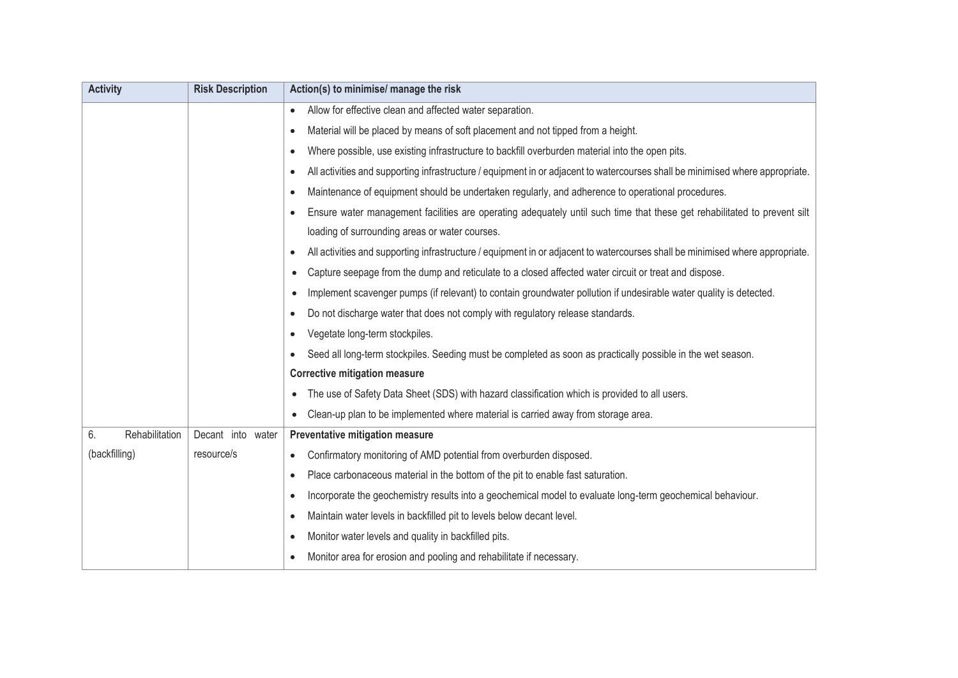| <b>Activity</b>      | <b>Risk Description</b> | Action(s) to minimise/ manage the risk                                                                                                     |
|----------------------|-------------------------|--------------------------------------------------------------------------------------------------------------------------------------------|
|                      |                         | Allow for effective clean and affected water separation.<br>$\bullet$                                                                      |
|                      |                         | Material will be placed by means of soft placement and not tipped from a height.<br>$\bullet$                                              |
|                      |                         | Where possible, use existing infrastructure to backfill overburden material into the open pits.<br>$\bullet$                               |
|                      |                         | All activities and supporting infrastructure / equipment in or adjacent to watercourses shall be minimised where appropriate.<br>$\bullet$ |
|                      |                         | Maintenance of equipment should be undertaken regularly, and adherence to operational procedures.<br>٠                                     |
|                      |                         | Ensure water management facilities are operating adequately until such time that these get rehabilitated to prevent silt<br>$\bullet$      |
|                      |                         | loading of surrounding areas or water courses.                                                                                             |
|                      |                         | All activities and supporting infrastructure / equipment in or adjacent to watercourses shall be minimised where appropriate.<br>$\bullet$ |
|                      |                         | Capture seepage from the dump and reticulate to a closed affected water circuit or treat and dispose.<br>$\bullet$                         |
|                      |                         | Implement scavenger pumps (if relevant) to contain groundwater pollution if undesirable water quality is detected.<br>$\bullet$            |
|                      |                         | Do not discharge water that does not comply with regulatory release standards.<br>$\bullet$                                                |
|                      |                         | Vegetate long-term stockpiles.<br>$\bullet$                                                                                                |
|                      |                         | Seed all long-term stockpiles. Seeding must be completed as soon as practically possible in the wet season.<br>$\bullet$                   |
|                      |                         | <b>Corrective mitigation measure</b>                                                                                                       |
|                      |                         | The use of Safety Data Sheet (SDS) with hazard classification which is provided to all users.<br>$\bullet$                                 |
|                      |                         | Clean-up plan to be implemented where material is carried away from storage area.                                                          |
| Rehabilitation<br>6. | Decant into water       | Preventative mitigation measure                                                                                                            |
| (backfilling)        | resource/s              | Confirmatory monitoring of AMD potential from overburden disposed.<br>$\bullet$                                                            |
|                      |                         | Place carbonaceous material in the bottom of the pit to enable fast saturation.<br>$\bullet$                                               |
|                      |                         | Incorporate the geochemistry results into a geochemical model to evaluate long-term geochemical behaviour.<br>$\bullet$                    |
|                      |                         | Maintain water levels in backfilled pit to levels below decant level.<br>$\bullet$                                                         |
|                      |                         | Monitor water levels and quality in backfilled pits.<br>$\bullet$                                                                          |
|                      |                         | Monitor area for erosion and pooling and rehabilitate if necessary.<br>$\bullet$                                                           |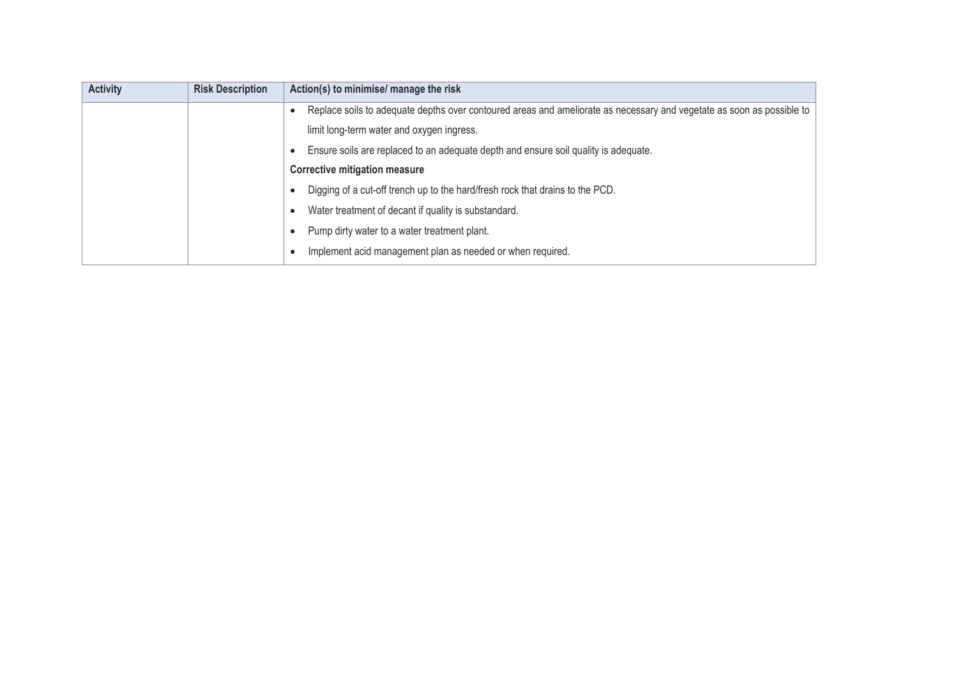| <b>Activity</b> | <b>Risk Description</b> | Action(s) to minimise/ manage the risk                                                                                |
|-----------------|-------------------------|-----------------------------------------------------------------------------------------------------------------------|
|                 |                         | Replace soils to adequate depths over contoured areas and ameliorate as necessary and vegetate as soon as possible to |
|                 |                         | limit long-term water and oxygen ingress.                                                                             |
|                 |                         | Ensure soils are replaced to an adequate depth and ensure soil quality is adequate.                                   |
|                 |                         | <b>Corrective mitigation measure</b>                                                                                  |
|                 |                         | Digging of a cut-off trench up to the hard/fresh rock that drains to the PCD.                                         |
|                 |                         | Water treatment of decant if quality is substandard.                                                                  |
|                 |                         | Pump dirty water to a water treatment plant.                                                                          |
|                 |                         | Implement acid management plan as needed or when required.                                                            |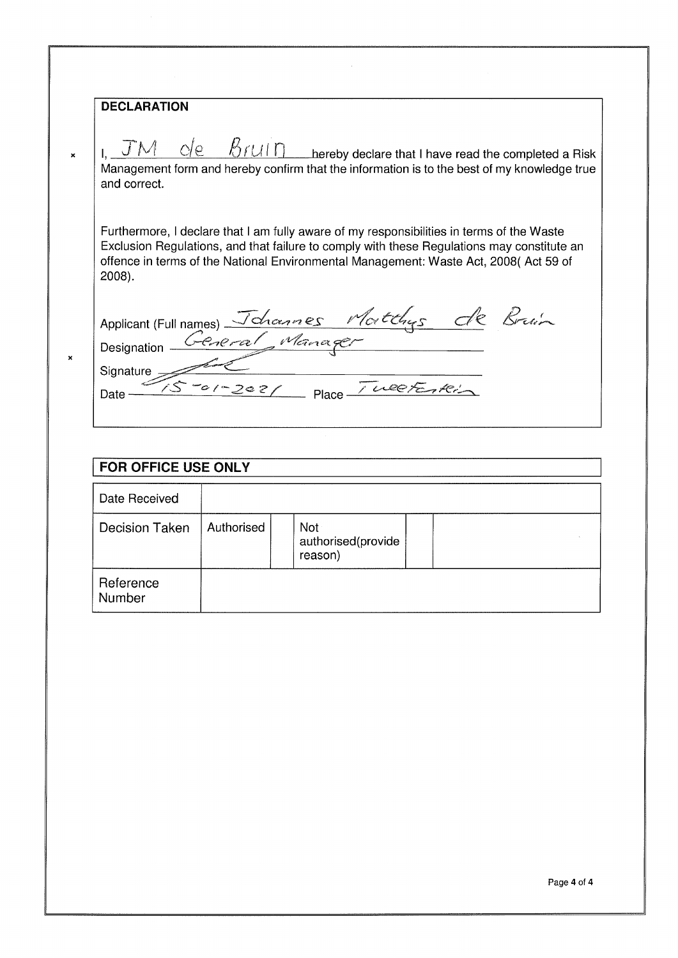#### **DECLARATION**

 $\mathbf{x}$ 

 $\boldsymbol{\mathsf{x}}$ 

I.  $\overline{J}M$   $\overline{C}/e$   $\overline{B}rU\overline{D}$  hereby declare that I have read the completed a Risk Management form and hereby confirm that the information is to the best of my knowledge true and correct.

Furthermore, I declare that I am fully aware of my responsibilities in terms of the Waste Exclusion Regulations, and that failure to comply with these Regulations may constitute an offence in terms of the National Environmental Management: Waste Act, 2008(Act 59 of  $2008$ ).

Applicant (Full names) Johannes Matthys de Bruin<br>Designation Ceneral Manager<br>Signature Sorgezez Place Tweeterkin

## **FOR OFFICE USE ONLY**

| Date Received         |            |                                      |  |
|-----------------------|------------|--------------------------------------|--|
| <b>Decision Taken</b> | Authorised | Not<br>authorised(provide<br>reason) |  |
| Reference<br>Number   |            |                                      |  |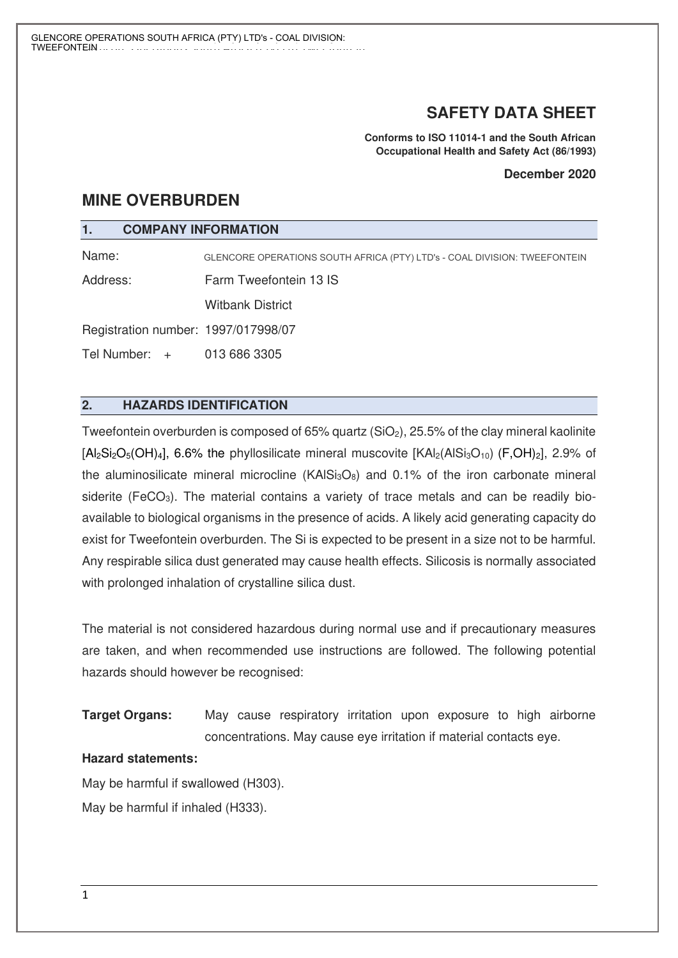## **SAFETY DATA SHEET**

**Conforms to ISO 11014-1 and the South African Occupational Health and Safety Act (86/1993)**

#### **December 2020**

## **MINE OVERBURDEN**

#### **1. COMPANY INFORMATION**

Name: GLENCORE OPERATIONS SOUTH AFRICA (PTY) LTD's - COAL DIVISION: TWEEFONTEIN

Address: Farm Tweefontein 13 IS

Witbank District

Registration number: 1997/017998/07

Tel Number: + 013 686 3305

## **2. HAZARDS IDENTIFICATION**

Tweefontein overburden is composed of 65% quartz  $(SiO<sub>2</sub>)$ , 25.5% of the clay mineral kaolinite  $[A]_2Si_2O_5(OH)_4$ , 6.6% the phyllosilicate mineral muscovite  $[KAl_2(AIS_{13}O_{10})$  (F,OH)<sub>2</sub>, 2.9% of the aluminosilicate mineral microcline (KAIS $_{3}$ O<sub>8</sub>) and 0.1% of the iron carbonate mineral siderite (FeCO<sub>3</sub>). The material contains a variety of trace metals and can be readily bioavailable to biological organisms in the presence of acids. A likely acid generating capacity do exist for Tweefontein overburden. The Si is expected to be present in a size not to be harmful. Any respirable silica dust generated may cause health effects. Silicosis is normally associated with prolonged inhalation of crystalline silica dust.

The material is not considered hazardous during normal use and if precautionary measures are taken, and when recommended use instructions are followed. The following potential hazards should however be recognised:

**Target Organs:** May cause respiratory irritation upon exposure to high airborne concentrations. May cause eye irritation if material contacts eye.

#### **Hazard statements:**

May be harmful if swallowed (H303). May be harmful if inhaled (H333).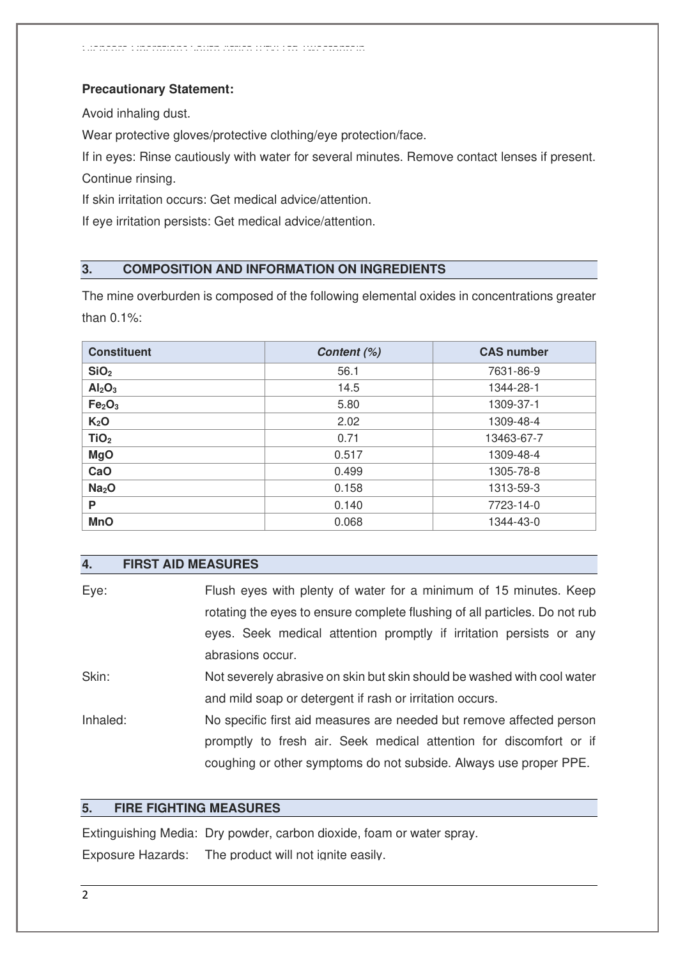#### **Precautionary Statement:**

Avoid inhaling dust.

Wear protective gloves/protective clothing/eye protection/face.

If in eyes: Rinse cautiously with water for several minutes. Remove contact lenses if present. Continue rinsing.

If skin irritation occurs: Get medical advice/attention.

If eye irritation persists: Get medical advice/attention.

## **3. COMPOSITION AND INFORMATION ON INGREDIENTS**

The mine overburden is composed of the following elemental oxides in concentrations greater than 0.1%:

| <b>Constituent</b>             | Content (%) | <b>CAS number</b> |
|--------------------------------|-------------|-------------------|
| SiO <sub>2</sub>               | 56.1        | 7631-86-9         |
| Al <sub>2</sub> O <sub>3</sub> | 14.5        | 1344-28-1         |
| Fe <sub>2</sub> O <sub>3</sub> | 5.80        | 1309-37-1         |
| K <sub>2</sub> O               | 2.02        | 1309-48-4         |
| TiO <sub>2</sub>               | 0.71        | 13463-67-7        |
| <b>MgO</b>                     | 0.517       | 1309-48-4         |
| CaO                            | 0.499       | 1305-78-8         |
| Na <sub>2</sub> O              | 0.158       | 1313-59-3         |
| P                              | 0.140       | 7723-14-0         |
| <b>MnO</b>                     | 0.068       | 1344-43-0         |

#### **4. FIRST AID MEASURES**

| Eye:     | Flush eyes with plenty of water for a minimum of 15 minutes. Keep          |
|----------|----------------------------------------------------------------------------|
|          | rotating the eyes to ensure complete flushing of all particles. Do not rub |
|          | eyes. Seek medical attention promptly if irritation persists or any        |
|          | abrasions occur.                                                           |
| Skin:    | Not severely abrasive on skin but skin should be washed with cool water    |
|          | and mild soap or detergent if rash or irritation occurs.                   |
| Inhaled: | No specific first aid measures are needed but remove affected person       |
|          | promptly to fresh air. Seek medical attention for discomfort or if         |
|          | coughing or other symptoms do not subside. Always use proper PPE.          |

#### **5. FIRE FIGHTING MEASURES**

Extinguishing Media: Dry powder, carbon dioxide, foam or water spray. Exposure Hazards: The product will not ignite easily.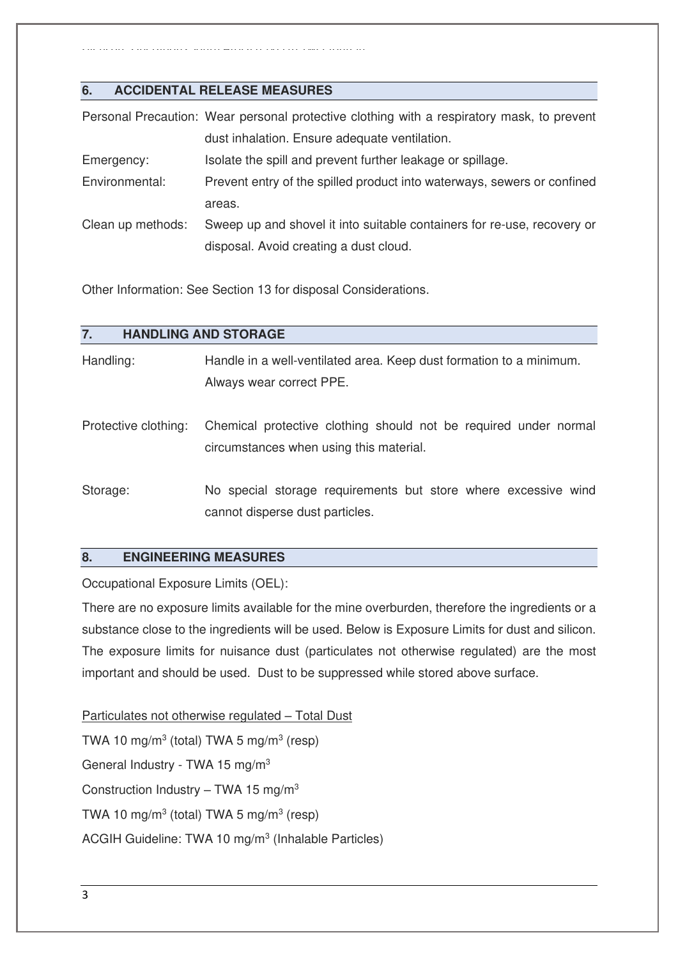Glencore Operations South Africa (Pty) Ltd Tweefontein

## **6. ACCIDENTAL RELEASE MEASURES**

|                   | Personal Precaution: Wear personal protective clothing with a respiratory mask, to prevent |
|-------------------|--------------------------------------------------------------------------------------------|
|                   | dust inhalation. Ensure adequate ventilation.                                              |
| Emergency:        | Isolate the spill and prevent further leakage or spillage.                                 |
| Environmental:    | Prevent entry of the spilled product into waterways, sewers or confined                    |
|                   | areas.                                                                                     |
| Clean up methods: | Sweep up and shovel it into suitable containers for re-use, recovery or                    |
|                   | disposal. Avoid creating a dust cloud.                                                     |

Other Information: See Section 13 for disposal Considerations.

| 7.                   | <b>HANDLING AND STORAGE</b>                                                                                 |
|----------------------|-------------------------------------------------------------------------------------------------------------|
| Handling:            | Handle in a well-ventilated area. Keep dust formation to a minimum.<br>Always wear correct PPE.             |
| Protective clothing: | Chemical protective clothing should not be required under normal<br>circumstances when using this material. |
| Storage:             | No special storage requirements but store where excessive wind<br>cannot disperse dust particles.           |

## **8. ENGINEERING MEASURES**

Occupational Exposure Limits (OEL):

There are no exposure limits available for the mine overburden, therefore the ingredients or a substance close to the ingredients will be used. Below is Exposure Limits for dust and silicon. The exposure limits for nuisance dust (particulates not otherwise regulated) are the most important and should be used. Dust to be suppressed while stored above surface.

Particulates not otherwise regulated – Total Dust TWA 10 mg/m<sup>3</sup> (total) TWA 5 mg/m<sup>3</sup> (resp) General Industry - TWA 15 mg/m<sup>3</sup> Construction Industry – TWA 15 mg/m<sup>3</sup> TWA 10 mg/m<sup>3</sup> (total) TWA 5 mg/m<sup>3</sup> (resp) ACGIH Guideline: TWA 10 mg/m<sup>3</sup> (Inhalable Particles)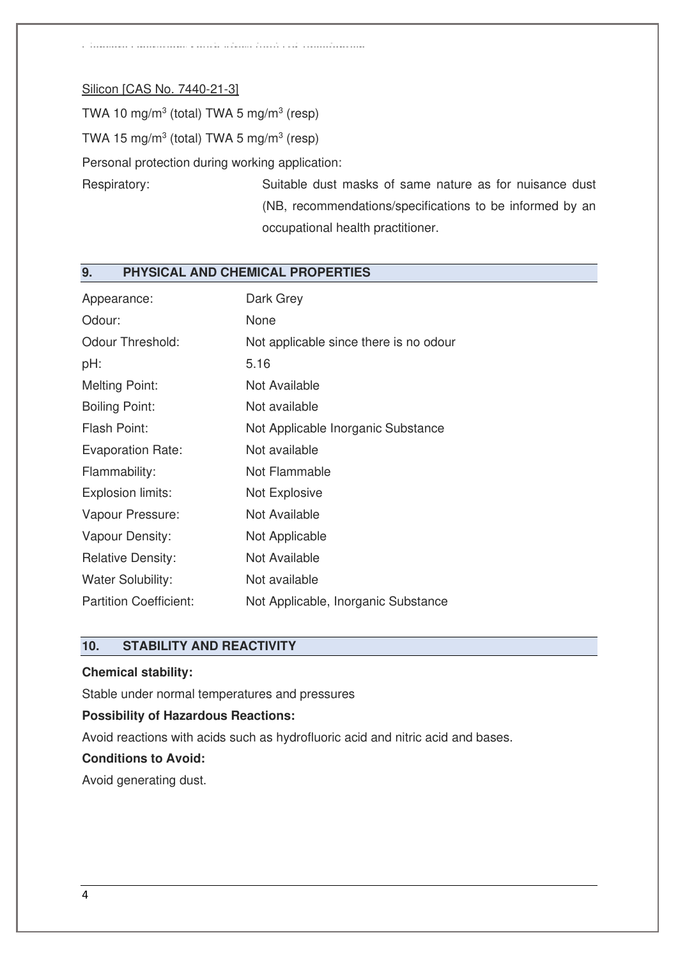#### Silicon [CAS No. 7440-21-3]

TWA 10 mg/m<sup>3</sup> (total) TWA 5 mg/m<sup>3</sup> (resp)

TWA 15 mg/m<sup>3</sup> (total) TWA 5 mg/m<sup>3</sup> (resp)

Personal protection during working application:

Glencore Operations South Africa (Pty) Ltd Tweefontein

Respiratory: Suitable dust masks of same nature as for nuisance dust (NB, recommendations/specifications to be informed by an occupational health practitioner.

## **9. PHYSICAL AND CHEMICAL PROPERTIES**

| Appearance:                   | Dark Grey                              |
|-------------------------------|----------------------------------------|
| Odour:                        | None                                   |
| <b>Odour Threshold:</b>       | Not applicable since there is no odour |
| pH:                           | 5.16                                   |
| <b>Melting Point:</b>         | Not Available                          |
| <b>Boiling Point:</b>         | Not available                          |
| Flash Point:                  | Not Applicable Inorganic Substance     |
| <b>Evaporation Rate:</b>      | Not available                          |
| Flammability:                 | Not Flammable                          |
| Explosion limits:             | Not Explosive                          |
| Vapour Pressure:              | Not Available                          |
| Vapour Density:               | Not Applicable                         |
| <b>Relative Density:</b>      | Not Available                          |
| <b>Water Solubility:</b>      | Not available                          |
| <b>Partition Coefficient:</b> | Not Applicable, Inorganic Substance    |

## **10. STABILITY AND REACTIVITY**

#### **Chemical stability:**

Stable under normal temperatures and pressures

#### **Possibility of Hazardous Reactions:**

Avoid reactions with acids such as hydrofluoric acid and nitric acid and bases.

#### **Conditions to Avoid:**

Avoid generating dust.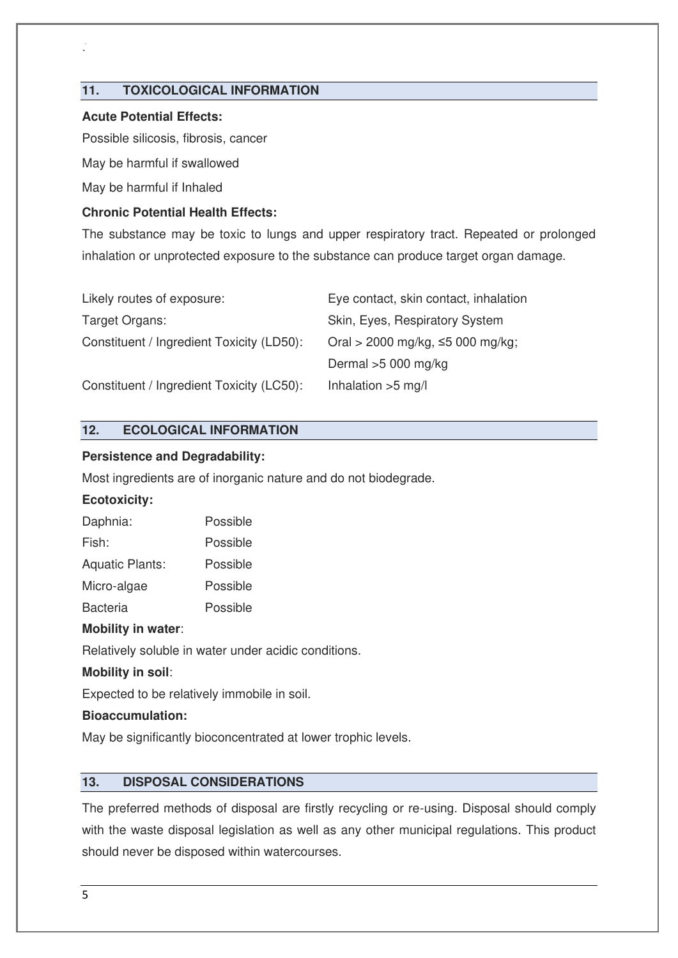#### **11. TOXICOLOGICAL INFORMATION**

 $\widetilde{G}$ 

#### **Acute Potential Effects:**

Possible silicosis, fibrosis, cancer

May be harmful if swallowed

May be harmful if Inhaled

#### **Chronic Potential Health Effects:**

The substance may be toxic to lungs and upper respiratory tract. Repeated or prolonged inhalation or unprotected exposure to the substance can produce target organ damage.

| Likely routes of exposure:                | Eye contact, skin contact, inhalation |
|-------------------------------------------|---------------------------------------|
| Target Organs:                            | Skin, Eyes, Respiratory System        |
| Constituent / Ingredient Toxicity (LD50): | Oral > 2000 mg/kg, ≤5 000 mg/kg;      |
|                                           | Dermal $>5000$ mg/kg                  |
| Constituent / Ingredient Toxicity (LC50): | Inhalation $>5$ mg/l                  |

## **12. ECOLOGICAL INFORMATION**

#### **Persistence and Degradability:**

Most ingredients are of inorganic nature and do not biodegrade.

#### **Ecotoxicity:**

| Daphnia:               | Possible |
|------------------------|----------|
| Fish:                  | Possible |
| <b>Aquatic Plants:</b> | Possible |
| Micro-algae            | Possible |
| <b>Bacteria</b>        | Possible |

#### **Mobility in water**:

Relatively soluble in water under acidic conditions.

#### **Mobility in soil**:

Expected to be relatively immobile in soil.

#### **Bioaccumulation:**

May be significantly bioconcentrated at lower trophic levels.

## **13. DISPOSAL CONSIDERATIONS**

The preferred methods of disposal are firstly recycling or re-using. Disposal should comply with the waste disposal legislation as well as any other municipal regulations. This product should never be disposed within watercourses.